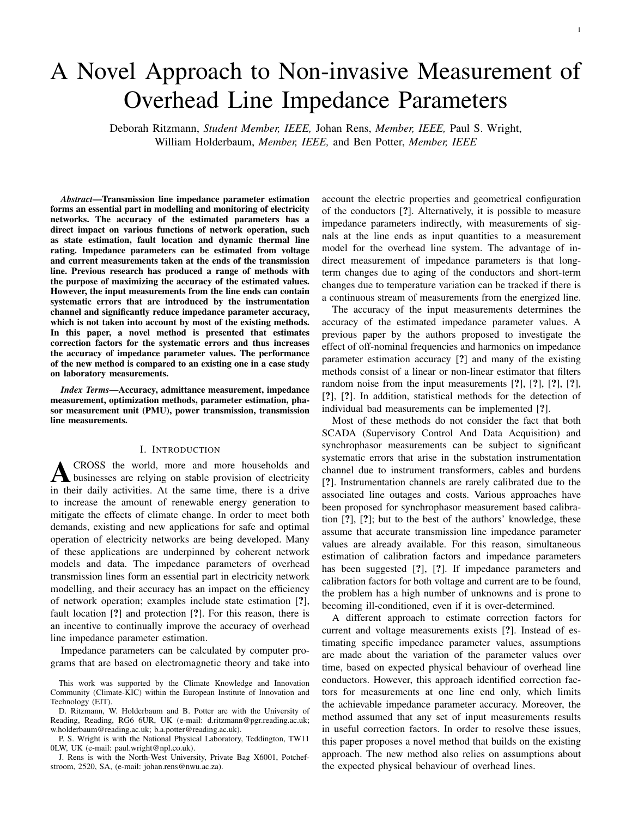# 1

# A Novel Approach to Non-invasive Measurement of Overhead Line Impedance Parameters

Deborah Ritzmann, *Student Member, IEEE,* Johan Rens, *Member, IEEE,* Paul S. Wright, William Holderbaum, *Member, IEEE,* and Ben Potter, *Member, IEEE*

*Abstract*—Transmission line impedance parameter estimation forms an essential part in modelling and monitoring of electricity networks. The accuracy of the estimated parameters has a direct impact on various functions of network operation, such as state estimation, fault location and dynamic thermal line rating. Impedance parameters can be estimated from voltage and current measurements taken at the ends of the transmission line. Previous research has produced a range of methods with the purpose of maximizing the accuracy of the estimated values. However, the input measurements from the line ends can contain systematic errors that are introduced by the instrumentation channel and significantly reduce impedance parameter accuracy, which is not taken into account by most of the existing methods. In this paper, a novel method is presented that estimates correction factors for the systematic errors and thus increases the accuracy of impedance parameter values. The performance of the new method is compared to an existing one in a case study on laboratory measurements.

*Index Terms*—Accuracy, admittance measurement, impedance measurement, optimization methods, parameter estimation, phasor measurement unit (PMU), power transmission, transmission line measurements.

#### I. INTRODUCTION

**A** CROSS the world, more and more households and businesses are relying on stable provision of electricity CROSS the world, more and more households and in their daily activities. At the same time, there is a drive to increase the amount of renewable energy generation to mitigate the effects of climate change. In order to meet both demands, existing and new applications for safe and optimal operation of electricity networks are being developed. Many of these applications are underpinned by coherent network models and data. The impedance parameters of overhead transmission lines form an essential part in electricity network modelling, and their accuracy has an impact on the efficiency of network operation; examples include state estimation [?], fault location [?] and protection [?]. For this reason, there is an incentive to continually improve the accuracy of overhead line impedance parameter estimation.

Impedance parameters can be calculated by computer programs that are based on electromagnetic theory and take into

D. Ritzmann, W. Holderbaum and B. Potter are with the University of Reading, Reading, RG6 6UR, UK (e-mail: d.ritzmann@pgr.reading.ac.uk; w.holderbaum@reading.ac.uk; b.a.potter@reading.ac.uk).

P. S. Wright is with the National Physical Laboratory, Teddington, TW11 0LW, UK (e-mail: paul.wright@npl.co.uk).

J. Rens is with the North-West University, Private Bag X6001, Potchefstroom, 2520, SA, (e-mail: johan.rens@nwu.ac.za).

account the electric properties and geometrical configuration of the conductors [?]. Alternatively, it is possible to measure impedance parameters indirectly, with measurements of signals at the line ends as input quantities to a measurement model for the overhead line system. The advantage of indirect measurement of impedance parameters is that longterm changes due to aging of the conductors and short-term changes due to temperature variation can be tracked if there is a continuous stream of measurements from the energized line.

The accuracy of the input measurements determines the accuracy of the estimated impedance parameter values. A previous paper by the authors proposed to investigate the effect of off-nominal frequencies and harmonics on impedance parameter estimation accuracy [?] and many of the existing methods consist of a linear or non-linear estimator that filters random noise from the input measurements [?], [?], [?], [?], [?], [?]. In addition, statistical methods for the detection of individual bad measurements can be implemented [?].

Most of these methods do not consider the fact that both SCADA (Supervisory Control And Data Acquisition) and synchrophasor measurements can be subject to significant systematic errors that arise in the substation instrumentation channel due to instrument transformers, cables and burdens [?]. Instrumentation channels are rarely calibrated due to the associated line outages and costs. Various approaches have been proposed for synchrophasor measurement based calibration [?], [?]; but to the best of the authors' knowledge, these assume that accurate transmission line impedance parameter values are already available. For this reason, simultaneous estimation of calibration factors and impedance parameters has been suggested [?], [?]. If impedance parameters and calibration factors for both voltage and current are to be found, the problem has a high number of unknowns and is prone to becoming ill-conditioned, even if it is over-determined.

A different approach to estimate correction factors for current and voltage measurements exists [?]. Instead of estimating specific impedance parameter values, assumptions are made about the variation of the parameter values over time, based on expected physical behaviour of overhead line conductors. However, this approach identified correction factors for measurements at one line end only, which limits the achievable impedance parameter accuracy. Moreover, the method assumed that any set of input measurements results in useful correction factors. In order to resolve these issues, this paper proposes a novel method that builds on the existing approach. The new method also relies on assumptions about the expected physical behaviour of overhead lines.

This work was supported by the Climate Knowledge and Innovation Community (Climate-KIC) within the European Institute of Innovation and Technology (EIT).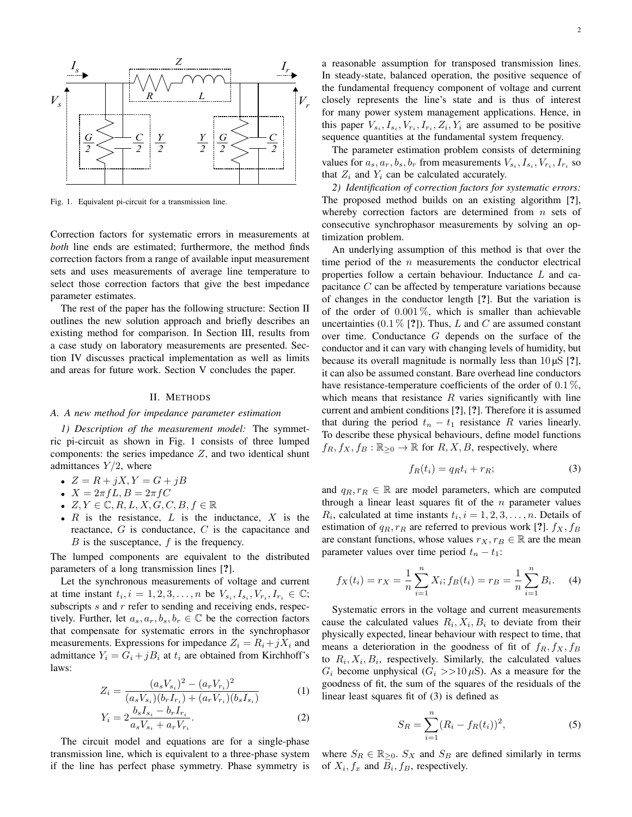

Fig. 1. Equivalent pi-circuit for a transmission line.

Correction factors for systematic errors in measurements at *both* line ends are estimated; furthermore, the method finds correction factors from a range of available input measurement sets and uses measurements of average line temperature to select those correction factors that give the best impedance parameter estimates.

The rest of the paper has the following structure: Section II outlines the new solution approach and briefly describes an existing method for comparison. In Section III, results from a case study on laboratory measurements are presented. Section IV discusses practical implementation as well as limits and areas for future work. Section V concludes the paper.

#### II. METHODS

#### *A. A new method for impedance parameter estimation*

*1) Description of the measurement model:* The symmetric pi-circuit as shown in Fig. 1 consists of three lumped components: the series impedance  $Z$ , and two identical shunt admittances  $Y/2$ , where

- $Z = R + jX, Y = G + jB$
- $X = 2\pi fL, B = 2\pi fC$
- $Z, Y \in \mathbb{C}, R, L, X, G, C, B, f \in \mathbb{R}$
- $R$  is the resistance,  $L$  is the inductance,  $X$  is the reactance, G is conductance, C is the capacitance and  $B$  is the susceptance,  $f$  is the frequency.

The lumped components are equivalent to the distributed parameters of a long transmission lines [?].

Let the synchronous measurements of voltage and current at time instant  $t_i$ ,  $i = 1, 2, 3, \ldots, n$  be  $V_{s_i}, I_{s_i}, V_{r_i}, I_{r_i} \in \mathbb{C}$ ; subscripts  $s$  and  $r$  refer to sending and receiving ends, respectively. Further, let  $a_s, a_r, b_s, b_r \in \mathbb{C}$  be the correction factors that compensate for systematic errors in the synchrophasor measurements. Expressions for impedance  $Z_i = R_i + jX_i$  and admittance  $Y_i = G_i + jB_i$  at  $t_i$  are obtained from Kirchhoff's laws:

$$
Z_i = \frac{(a_s V_{s_i})^2 - (a_r V_{r_i})^2}{(a_s V_{s_i})(b_r I_{r_i}) + (a_r V_{r_i})(b_s I_{s_i})}
$$
(1)

$$
Y_i = 2 \frac{b_s I_{s_i} - b_r I_{r_i}}{a_s V_{s_i} + a_r V_{r_i}}.
$$
\n(2)

The circuit model and equations are for a single-phase transmission line, which is equivalent to a three-phase system if the line has perfect phase symmetry. Phase symmetry is a reasonable assumption for transposed transmission lines. In steady-state, balanced operation, the positive sequence of the fundamental frequency component of voltage and current closely represents the line's state and is thus of interest for many power system management applications. Hence, in this paper  $V_{s_i}, I_{s_i}, V_{r_i}, I_{r_i}, Z_i, Y_i$  are assumed to be positive sequence quantities at the fundamental system frequency.

The parameter estimation problem consists of determining values for  $a_s$ ,  $a_r$ ,  $b_s$ ,  $b_r$  from measurements  $V_{s_i}$ ,  $I_{s_i}$ ,  $V_{r_i}$ ,  $I_{r_i}$  so that  $Z_i$  and  $Y_i$  can be calculated accurately.

*2) Identification of correction factors for systematic errors:* The proposed method builds on an existing algorithm [?], whereby correction factors are determined from  $n$  sets of consecutive synchrophasor measurements by solving an optimization problem.

An underlying assumption of this method is that over the time period of the  $n$  measurements the conductor electrical properties follow a certain behaviour. Inductance L and capacitance C can be affected by temperature variations because of changes in the conductor length [?]. But the variation is of the order of  $0.001\%$ , which is smaller than achievable uncertainties (0.1  $\%$  [?]). Thus, L and C are assumed constant over time. Conductance G depends on the surface of the conductor and it can vary with changing levels of humidity, but because its overall magnitude is normally less than  $10 \mu S$  [?], it can also be assumed constant. Bare overhead line conductors have resistance-temperature coefficients of the order of  $0.1\%$ , which means that resistance  $R$  varies significantly with line current and ambient conditions [?], [?]. Therefore it is assumed that during the period  $t_n - t_1$  resistance R varies linearly. To describe these physical behaviours, define model functions  $f_R, f_X, f_B : \mathbb{R}_{\geq 0} \to \mathbb{R}$  for  $R, X, B$ , respectively, where

$$
f_R(t_i) = q_R t_i + r_R; \tag{3}
$$

and  $q_R, r_R \in \mathbb{R}$  are model parameters, which are computed through a linear least squares fit of the  $n$  parameter values  $R_i$ , calculated at time instants  $t_i$ ,  $i = 1, 2, 3, \ldots, n$ . Details of estimation of  $q_R, r_R$  are referred to previous work [?].  $f_X, f_B$ are constant functions, whose values  $r_X, r_B \in \mathbb{R}$  are the mean parameter values over time period  $t_n - t_1$ :

$$
f_X(t_i) = r_X = \frac{1}{n} \sum_{i=1}^n X_i; f_B(t_i) = r_B = \frac{1}{n} \sum_{i=1}^n B_i.
$$
 (4)

Systematic errors in the voltage and current measurements cause the calculated values  $R_i, X_i, B_i$  to deviate from their physically expected, linear behaviour with respect to time, that means a deterioration in the goodness of fit of  $f_R$ ,  $f_X$ ,  $f_B$ to  $R_i$ ,  $X_i$ ,  $B_i$ , respectively. Similarly, the calculated values  $G_i$  become unphysical  $(G_i >> 10 \,\mu\text{S})$ . As a measure for the goodness of fit, the sum of the squares of the residuals of the linear least squares fit of (3) is defined as

$$
S_R = \sum_{i=1}^{n} (R_i - f_R(t_i))^2,
$$
 (5)

where  $S_R \in \mathbb{R}_{\geq 0}$ .  $S_X$  and  $S_B$  are defined similarly in terms of  $X_i, f_x$  and  $B_i, f_B$ , respectively.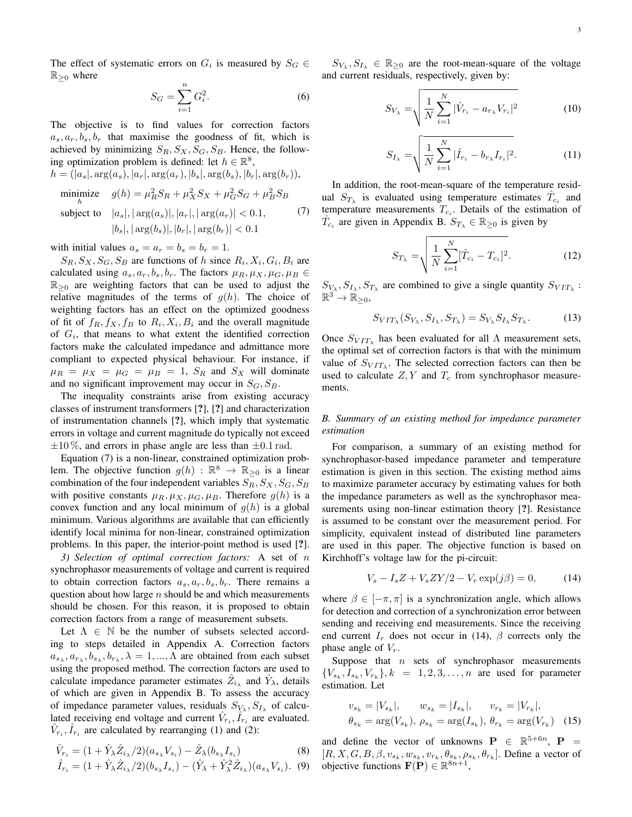The effect of systematic errors on  $G_i$  is measured by  $S_G \in$  $\mathbb{R}_{\geq 0}$  where

$$
S_G = \sum_{i=1}^{n} G_i^2.
$$
 (6)

The objective is to find values for correction factors  $a_s, a_r, b_s, b_r$  that maximise the goodness of fit, which is achieved by minimizing  $S_R$ ,  $S_X$ ,  $S_G$ ,  $S_B$ . Hence, the following optimization problem is defined: let  $h \in \mathbb{R}^8$ ,  $h = (|a_{\varepsilon}|, \arg(a_{\varepsilon}), |a_{\varepsilon}|, \arg(a_{\varepsilon}), |b_{\varepsilon}|, \arg(b_{\varepsilon}), |b_{\varepsilon}|, \arg(b_{\varepsilon}))$ 

$$
\begin{aligned}\n&\text{minimize} \quad g(h) = \mu_R^2 S_R + \mu_X^2 S_X + \mu_G^2 S_G + \mu_B^2 S_B \\
&\text{subject to} \quad |a_s|, |\arg(a_s)|, |a_r|, |\arg(a_r)| < 0.1,\n\end{aligned}
$$
\n
$$
\begin{aligned}\n&\text{(7)} \quad |b_s|, |\arg(b_s)|, |b_r|, |\arg(b_r)| < 0.1\n\end{aligned}
$$

with initial values  $a_s = a_r = b_s = b_r = 1$ .

 $S_R, S_X, S_G, S_B$  are functions of h since  $R_i, X_i, G_i, B_i$  are calculated using  $a_s, a_r, b_s, b_r$ . The factors  $\mu_R, \mu_X, \mu_G, \mu_B \in$  $\mathbb{R}_{\geq 0}$  are weighting factors that can be used to adjust the relative magnitudes of the terms of  $g(h)$ . The choice of weighting factors has an effect on the optimized goodness of fit of  $f_R$ ,  $f_X$ ,  $f_B$  to  $R_i$ ,  $X_i$ ,  $B_i$  and the overall magnitude of  $G_i$ , that means to what extent the identified correction factors make the calculated impedance and admittance more compliant to expected physical behaviour. For instance, if  $\mu_R = \mu_X = \mu_G = \mu_B = 1$ ,  $S_R$  and  $S_X$  will dominate and no significant improvement may occur in  $S_G$ ,  $S_B$ .

The inequality constraints arise from existing accuracy classes of instrument transformers [?], [?] and characterization of instrumentation channels [?], which imply that systematic errors in voltage and current magnitude do typically not exceed  $\pm 10\%$ , and errors in phase angle are less than  $\pm 0.1$  rad.

Equation (7) is a non-linear, constrained optimization problem. The objective function  $g(h)$  :  $\mathbb{R}^8 \to \mathbb{R}_{\geq 0}$  is a linear combination of the four independent variables  $S_R$ ,  $S_X$ ,  $S_G$ ,  $S_B$ with positive constants  $\mu_R, \mu_X, \mu_G, \mu_B$ . Therefore  $g(h)$  is a convex function and any local minimum of  $g(h)$  is a global minimum. Various algorithms are available that can efficiently identify local minima for non-linear, constrained optimization problems. In this paper, the interior-point method is used [?].

*3) Selection of optimal correction factors:* A set of n synchrophasor measurements of voltage and current is required to obtain correction factors  $a_s, a_r, b_s, b_r$ . There remains a question about how large  $n$  should be and which measurements should be chosen. For this reason, it is proposed to obtain correction factors from a range of measurement subsets.

Let  $\Lambda \in \mathbb{N}$  be the number of subsets selected according to steps detailed in Appendix A. Correction factors  $a_{s_{\lambda}}, a_{r_{\lambda}}, b_{s_{\lambda}}, b_{r_{\lambda}}, \lambda = 1, ..., \Lambda$  are obtained from each subset using the proposed method. The correction factors are used to calculate impedance parameter estimates  $\hat{Z}_{i\lambda}$  and  $\hat{Y}_{\lambda}$ , details of which are given in Appendix B. To assess the accuracy of impedance parameter values, residuals  $S_{V_{\lambda}}, S_{I_{\lambda}}$  of calculated receiving end voltage and current  $\hat{V}_{r_i}, \hat{I}_{r_i}$  are evaluated.  $\hat{V}_{r_i}$ ,  $\hat{I}_{r_i}$  are calculated by rearranging (1) and (2):

$$
\hat{V}_{r_i} = (1 + \hat{Y}_{\lambda} \hat{Z}_{i_{\lambda}} / 2)(a_{s_{\lambda}} V_{s_i}) - \hat{Z}_{\lambda} (b_{s_{\lambda}} I_{s_i})
$$
\n(8)

$$
\hat{I}_{r_i} = (1 + \hat{Y}_{\lambda} \hat{Z}_{i_{\lambda}} / 2)(b_{s_{\lambda}} I_{s_i}) - (\hat{Y}_{\lambda} + \hat{Y}_{\lambda}^2 \hat{Z}_{i_{\lambda}})(a_{s_{\lambda}} V_{s_i}).
$$
 (9)

 $S_{V_{\lambda}}, S_{I_{\lambda}} \in \mathbb{R}_{\geq 0}$  are the root-mean-square of the voltage and current residuals, respectively, given by:

$$
S_{V_{\lambda}} = \sqrt{\frac{1}{N} \sum_{i=1}^{N} |\hat{V}_{r_i} - a_{r_{\lambda}} V_{r_i}|^2}
$$
 (10)

$$
S_{I_{\lambda}} = \sqrt{\frac{1}{N} \sum_{i=1}^{N} |\hat{I}_{r_i} - b_{r_{\lambda}} I_{r_i}|^2}.
$$
 (11)

In addition, the root-mean-square of the temperature residual  $S_{T_{\lambda}}$  is evaluated using temperature estimates  $\hat{T}_{c_i}$  and temperature measurements  $T_{c_i}$ . Details of the estimation of  $\hat{T}_{c_i}$  are given in Appendix B.  $S_{T_{\lambda}} \in \mathbb{R}_{\geq 0}$  is given by

$$
S_{T_{\lambda}} = \sqrt{\frac{1}{N} \sum_{i=1}^{N} [\hat{T}_{c_i} - T_{c_i}]^2}.
$$
 (12)

 $S_{V_{\lambda}}, S_{I_{\lambda}}, S_{T_{\lambda}}$  are combined to give a single quantity  $S_{VIT_{\lambda}}$ :  $\mathbb{R}^3 \to \mathbb{R}_{\geq 0}$ 

$$
S_{VIT_{\lambda}}(S_{V_{\lambda}}, S_{I_{\lambda}}, S_{T_{\lambda}}) = S_{V_{\lambda}} S_{I_{\lambda}} S_{T_{\lambda}}.
$$
 (13)

Once  $S_{VIT<sub>\lambda</sub>}$  has been evaluated for all  $\Lambda$  measurement sets, the optimal set of correction factors is that with the minimum value of  $S_{VIT_{\lambda}}$ . The selected correction factors can then be used to calculate  $Z, Y$  and  $T_c$  from synchrophasor measurements.

#### *B. Summary of an existing method for impedance parameter estimation*

For comparison, a summary of an existing method for synchrophasor-based impedance parameter and temperature estimation is given in this section. The existing method aims to maximize parameter accuracy by estimating values for both the impedance parameters as well as the synchrophasor measurements using non-linear estimation theory [?]. Resistance is assumed to be constant over the measurement period. For simplicity, equivalent instead of distributed line parameters are used in this paper. The objective function is based on Kirchhoff's voltage law for the pi-circuit:

$$
V_s - I_s Z + V_s Z Y / 2 - V_r \exp(j\beta) = 0,
$$
 (14)

where  $\beta \in [-\pi, \pi]$  is a synchronization angle, which allows for detection and correction of a synchronization error between sending and receiving end measurements. Since the receiving end current  $I_r$  does not occur in (14),  $\beta$  corrects only the phase angle of  $V_r$ .

Suppose that  $n$  sets of synchrophasor measurements  ${V_{s_k}, I_{s_k}, V_{r_k}}$ ,  $k = 1, 2, 3, \ldots, n$  are used for parameter estimation. Let

$$
v_{s_k} = |V_{s_k}|, \t w_{s_k} = |I_{s_k}|, \t v_{r_k} = |V_{r_k}|,
$$
  

$$
\theta_{s_k} = \arg(V_{s_k}), \ \theta_{s_k} = \arg(I_{s_k}), \ \theta_{r_k} = \arg(V_{r_k}) \tag{15}
$$

and define the vector of unknowns  $\mathbf{P} \in \mathbb{R}^{5+6n}$ ,  $\mathbf{P} =$  $[R, X, G, B, \beta, v_{s_k}, w_{s_k}, v_{r_k}, \theta_{s_k}, \rho_{s_k}, \theta_{r_k}]$ . Define a vector of objective functions  $\mathbf{F}(\mathbf{P}) \in \mathbb{R}^{8n+1}$ ,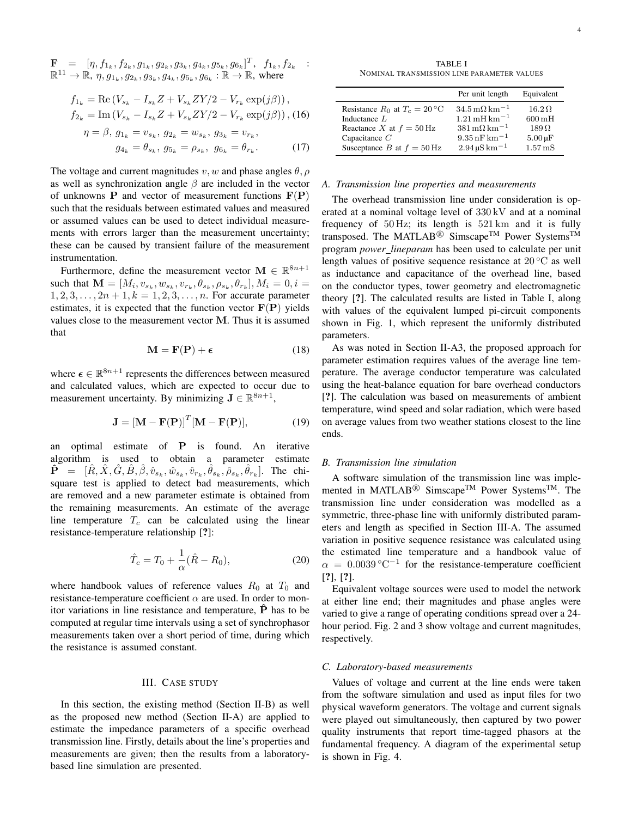$$
\mathbf{F} = [\eta, f_{1_k}, f_{2_k}, g_{1_k}, g_{2_k}, g_{3_k}, g_{4_k}, g_{5_k}, g_{6_k}]^T, f_{1_k}, f_{2_k} : \mathbb{R}^{11} \to \mathbb{R}, \eta, g_{1_k}, g_{2_k}, g_{3_k}, g_{4_k}, g_{5_k}, g_{6_k} : \mathbb{R} \to \mathbb{R}, \text{ where}
$$

$$
f_{1_k} = \text{Re}\left(V_{s_k} - I_{s_k}Z + V_{s_k}ZY/2 - V_{r_k}\exp(j\beta)\right),
$$
  
\n
$$
f_{2_k} = \text{Im}\left(V_{s_k} - I_{s_k}Z + V_{s_k}ZY/2 - V_{r_k}\exp(j\beta)\right),
$$
 (16)

$$
\eta = \beta, \, g_{1_k} = v_{s_k}, \, g_{2_k} = w_{s_k}, \, g_{3_k} = v_{r_k}, \n g_{4_k} = \theta_{s_k}, \, g_{5_k} = \rho_{s_k}, \, g_{6_k} = \theta_{r_k}. \tag{17}
$$

The voltage and current magnitudes  $v, w$  and phase angles  $\theta, \rho$ as well as synchronization angle  $\beta$  are included in the vector of unknowns **P** and vector of measurement functions  $F(P)$ such that the residuals between estimated values and measured or assumed values can be used to detect individual measurements with errors larger than the measurement uncertainty; these can be caused by transient failure of the measurement instrumentation.

Furthermore, define the measurement vector  $\mathbf{M} \in \mathbb{R}^{8n+1}$ such that  $\mathbf{M} = [M_i, v_{s_k}, w_{s_k}, v_{r_k}, \theta_{s_k}, \rho_{s_k}, \theta_{r_k}], M_i = 0, i =$  $1, 2, 3, \ldots, 2n + 1, k = 1, 2, 3, \ldots, n$ . For accurate parameter estimates, it is expected that the function vector  $F(P)$  yields values close to the measurement vector M. Thus it is assumed that

$$
\mathbf{M} = \mathbf{F}(\mathbf{P}) + \boldsymbol{\epsilon} \tag{18}
$$

where  $\epsilon \in \mathbb{R}^{8n+1}$  represents the differences between measured and calculated values, which are expected to occur due to measurement uncertainty. By minimizing  $J \in \mathbb{R}^{8n+1}$ ,

$$
\mathbf{J} = [\mathbf{M} - \mathbf{F}(\mathbf{P})]^T [\mathbf{M} - \mathbf{F}(\mathbf{P})],
$$
 (19)

an optimal estimate of P is found. An iterative algorithm is used to obtain a parameter estimate  $\mathbf{\hat{P}}^{\top} = [\hat{R}, \hat{X}, \hat{G}, \hat{B}, \hat{\beta}, \hat{v}_{s_k}, \hat{w}_{s_k}, \hat{v}_{r_k}, \hat{\theta}_{s_k}, \hat{\rho}_{s_k}, \hat{\theta}_{r_k}].$  The chisquare test is applied to detect bad measurements, which are removed and a new parameter estimate is obtained from the remaining measurements. An estimate of the average line temperature  $T_c$  can be calculated using the linear resistance-temperature relationship [?]:

$$
\hat{T}_c = T_0 + \frac{1}{\alpha} (\hat{R} - R_0), \tag{20}
$$

where handbook values of reference values  $R_0$  at  $T_0$  and resistance-temperature coefficient  $\alpha$  are used. In order to monitor variations in line resistance and temperature,  $\hat{P}$  has to be computed at regular time intervals using a set of synchrophasor measurements taken over a short period of time, during which the resistance is assumed constant.

#### III. CASE STUDY

In this section, the existing method (Section II-B) as well as the proposed new method (Section II-A) are applied to estimate the impedance parameters of a specific overhead transmission line. Firstly, details about the line's properties and measurements are given; then the results from a laboratorybased line simulation are presented.

TABLE I NOMINAL TRANSMISSION LINE PARAMETER VALUES

|                                   | Per unit length                              | Equivalent                |
|-----------------------------------|----------------------------------------------|---------------------------|
| Resistance $R_0$ at $T_c = 20$ °C | $34.5 \,\mathrm{m}\Omega \,\mathrm{km}^{-1}$ | $16.2\Omega$              |
| Inductance $L$                    | $1.21 \text{ mH} \text{ km}^{-1}$            | $600 \,\mathrm{mH}$       |
| Reactance X at $f = 50$ Hz        | $381 \,\mathrm{m}\Omega \,\mathrm{km}^{-1}$  | $189\Omega$               |
| Capacitance $C$                   | $9.35$ nF km <sup>-1</sup>                   | $5.00 \,\mathrm{\upmu F}$ |
| Susceptance B at $f = 50$ Hz      | $2.94 \,\mathrm{\upmu S\,km^{-1}}$           | $1.57 \,\mathrm{mS}$      |

#### *A. Transmission line properties and measurements*

The overhead transmission line under consideration is operated at a nominal voltage level of 330 kV and at a nominal frequency of 50 Hz; its length is 521 km and it is fully transposed. The MATLAB<sup>®</sup> Simscape<sup>TM</sup> Power Systems<sup>TM</sup> program *power lineparam* has been used to calculate per unit length values of positive sequence resistance at  $20\degree\text{C}$  as well as inductance and capacitance of the overhead line, based on the conductor types, tower geometry and electromagnetic theory [?]. The calculated results are listed in Table I, along with values of the equivalent lumped pi-circuit components shown in Fig. 1, which represent the uniformly distributed parameters.

As was noted in Section II-A3, the proposed approach for parameter estimation requires values of the average line temperature. The average conductor temperature was calculated using the heat-balance equation for bare overhead conductors [?]. The calculation was based on measurements of ambient temperature, wind speed and solar radiation, which were based on average values from two weather stations closest to the line ends.

#### *B. Transmission line simulation*

A software simulation of the transmission line was implemented in MATLAB<sup>®</sup> Simscape<sup>TM</sup> Power Systems<sup>TM</sup>. The transmission line under consideration was modelled as a symmetric, three-phase line with uniformly distributed parameters and length as specified in Section III-A. The assumed variation in positive sequence resistance was calculated using the estimated line temperature and a handbook value of  $\alpha = 0.0039 \degree \text{C}^{-1}$  for the resistance-temperature coefficient [?], [?].

Equivalent voltage sources were used to model the network at either line end; their magnitudes and phase angles were varied to give a range of operating conditions spread over a 24 hour period. Fig. 2 and 3 show voltage and current magnitudes, respectively.

#### *C. Laboratory-based measurements*

Values of voltage and current at the line ends were taken from the software simulation and used as input files for two physical waveform generators. The voltage and current signals were played out simultaneously, then captured by two power quality instruments that report time-tagged phasors at the fundamental frequency. A diagram of the experimental setup is shown in Fig. 4.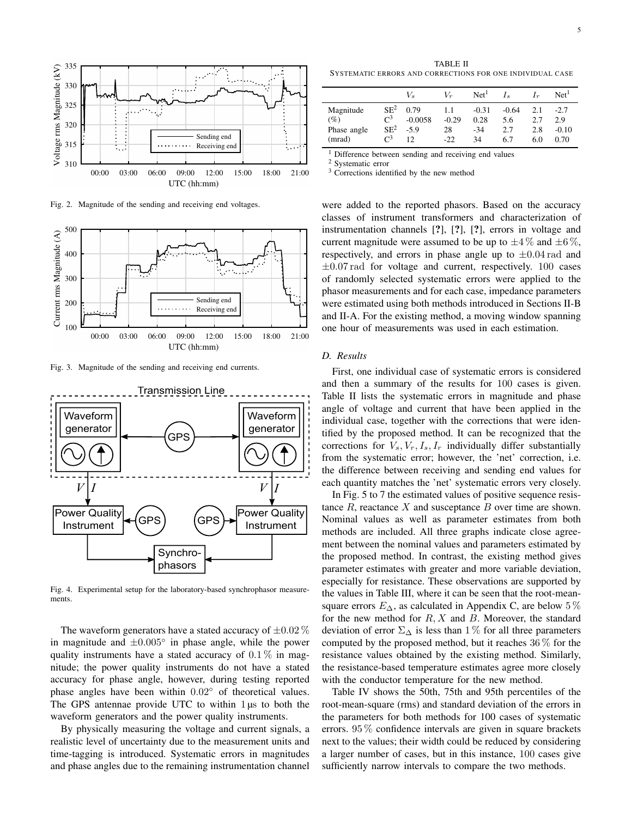

Fig. 2. Magnitude of the sending and receiving end voltages.



Fig. 3. Magnitude of the sending and receiving end currents.



Fig. 4. Experimental setup for the laboratory-based synchrophasor measurements.

The waveform generators have a stated accuracy of  $\pm 0.02\%$ in magnitude and  $\pm 0.005^\circ$  in phase angle, while the power quality instruments have a stated accuracy of  $0.1\%$  in magnitude; the power quality instruments do not have a stated accuracy for phase angle, however, during testing reported phase angles have been within 0.02◦ of theoretical values. The GPS antennae provide UTC to within  $1 \mu s$  to both the waveform generators and the power quality instruments.

By physically measuring the voltage and current signals, a realistic level of uncertainty due to the measurement units and time-tagging is introduced. Systematic errors in magnitudes and phase angles due to the remaining instrumentation channel

TABLE II SYSTEMATIC ERRORS AND CORRECTIONS FOR ONE INDIVIDUAL CASE

|             |                 | $V_{s}$   | $V_{\infty}$ | Net <sup>1</sup> |         | $I_r$ | Net <sup>1</sup> |
|-------------|-----------------|-----------|--------------|------------------|---------|-------|------------------|
| Magnitude   | SE <sup>2</sup> | 0.79      | 1.1          | $-0.31$          | $-0.64$ | 2.1   | $-2.7$           |
| (%)         | $\mathsf{C}^3$  | $-0.0058$ | $-0.29$      | 0.28             | 5.6     | 2.7   | 2.9              |
| Phase angle | SE <sup>2</sup> | $-5.9$    | 28           | $-34$            | 2.7     | 2.8   | $-0.10$          |
| (mrad)      | $\mathsf{C}^3$  | 12        | $-22$        | 34               | 6.7     | 6.0   | 0.70             |

<sup>1</sup> Difference between sending and receiving end values

<sup>2</sup> Systematic error

<sup>3</sup> Corrections identified by the new method

were added to the reported phasors. Based on the accuracy classes of instrument transformers and characterization of instrumentation channels [?], [?], [?], errors in voltage and current magnitude were assumed to be up to  $\pm 4\%$  and  $\pm 6\%$ , respectively, and errors in phase angle up to  $\pm 0.04$  rad and  $\pm 0.07$  rad for voltage and current, respectively. 100 cases of randomly selected systematic errors were applied to the phasor measurements and for each case, impedance parameters were estimated using both methods introduced in Sections II-B and II-A. For the existing method, a moving window spanning one hour of measurements was used in each estimation.

#### *D. Results*

First, one individual case of systematic errors is considered and then a summary of the results for 100 cases is given. Table II lists the systematic errors in magnitude and phase angle of voltage and current that have been applied in the individual case, together with the corrections that were identified by the proposed method. It can be recognized that the corrections for  $V_s, V_r, I_s, I_r$  individually differ substantially from the systematic error; however, the 'net' correction, i.e. the difference between receiving and sending end values for each quantity matches the 'net' systematic errors very closely.

In Fig. 5 to 7 the estimated values of positive sequence resistance  $R$ , reactance  $X$  and susceptance  $B$  over time are shown. Nominal values as well as parameter estimates from both methods are included. All three graphs indicate close agreement between the nominal values and parameters estimated by the proposed method. In contrast, the existing method gives parameter estimates with greater and more variable deviation, especially for resistance. These observations are supported by the values in Table III, where it can be seen that the root-meansquare errors  $E_{\Delta}$ , as calculated in Appendix C, are below 5 % for the new method for  $R, X$  and  $B$ . Moreover, the standard deviation of error  $\Sigma_{\Delta}$  is less than 1% for all three parameters computed by the proposed method, but it reaches 36 % for the resistance values obtained by the existing method. Similarly, the resistance-based temperature estimates agree more closely with the conductor temperature for the new method.

Table IV shows the 50th, 75th and 95th percentiles of the root-mean-square (rms) and standard deviation of the errors in the parameters for both methods for 100 cases of systematic errors. 95 % confidence intervals are given in square brackets next to the values; their width could be reduced by considering a larger number of cases, but in this instance, 100 cases give sufficiently narrow intervals to compare the two methods.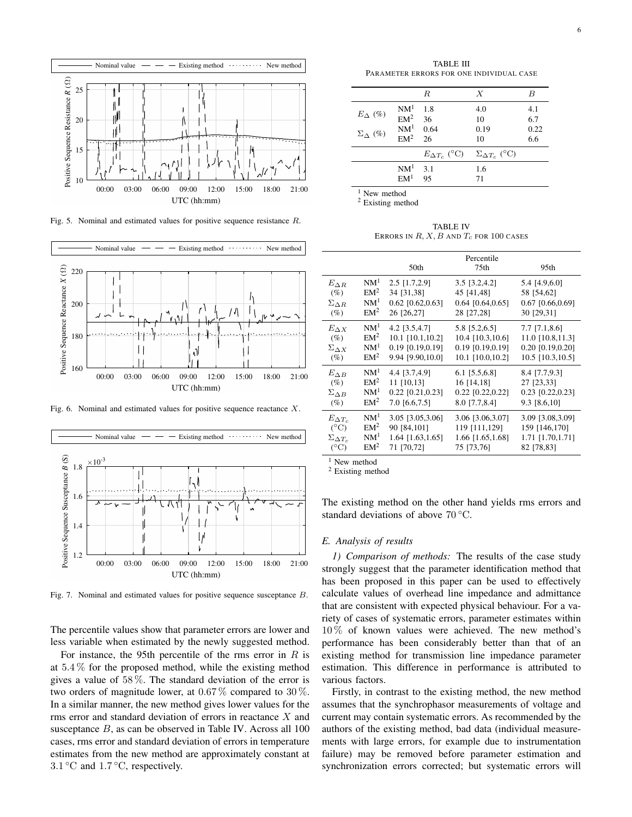

Fig. 5. Nominal and estimated values for positive sequence resistance R.



Fig. 6. Nominal and estimated values for positive sequence reactance X.



Fig. 7. Nominal and estimated values for positive sequence susceptance B.

The percentile values show that parameter errors are lower and less variable when estimated by the newly suggested method.

For instance, the 95th percentile of the rms error in  $R$  is at  $5.4\%$  for the proposed method, while the existing method gives a value of 58 %. The standard deviation of the error is two orders of magnitude lower, at  $0.67\%$  compared to  $30\%$ . In a similar manner, the new method gives lower values for the rms error and standard deviation of errors in reactance X and susceptance  $B$ , as can be observed in Table IV. Across all 100 cases, rms error and standard deviation of errors in temperature estimates from the new method are approximately constant at 3.1 °C and 1.7 °C, respectively.

TABLE III PARAMETER ERRORS FOR ONE INDIVIDUAL CASE

|                                            |                                                            | R           | $\boldsymbol{X}$                                 | B                         |
|--------------------------------------------|------------------------------------------------------------|-------------|--------------------------------------------------|---------------------------|
| $E_{\Delta}$ (%)<br>$\Sigma_{\Lambda}$ (%) | NM <sup>1</sup><br>$EM2$ 36<br>NM <sup>1</sup><br>$EM2$ 26 | 1.8<br>0.64 | 4.0<br>10<br>0.19<br>10                          | 4.1<br>6.7<br>0.22<br>6.6 |
|                                            |                                                            |             | $E_{\Delta T_c}$ (°C) $\Sigma_{\Delta T_c}$ (°C) |                           |
|                                            | NM <sup>1</sup><br>EM <sup>1</sup>                         | 3.1<br>95   | 1.6<br>71                                        |                           |

<sup>1</sup> New method

<sup>2</sup> Existing method

TABLE IV ERRORS IN  $R$ ,  $X$ ,  $B$  and  $T_c$  for 100 cases

|                       |                 | 50th               | Percentile<br>75th | 95th               |
|-----------------------|-----------------|--------------------|--------------------|--------------------|
| $E_{\Delta R}$        | NM <sup>1</sup> | $2.5$ [1.7,2.9]    | 3.5 [3.2,4.2]      | 5.4 [4.9,6.0]      |
| $(\%)$                | EM <sup>2</sup> | 34 [31,38]         | 45 [41,48]         | 58 [54,62]         |
| $\Sigma_{\Delta R}$   | NM <sup>1</sup> | $0.62$ [0.62,0.63] | $0.64$ [0.64,0.65] | $0.67$ [0.66,0.69] |
| $(\%)$                | EM <sup>2</sup> | 26 [26,27]         | 28 [27,28]         | 30 [29,31]         |
| $E_{\Delta X}$        | NM <sup>1</sup> | 4.2 $[3.5, 4.7]$   | 5.8 [5.2,6.5]      | $7.7$ [7.1,8.6]    |
| $(\%)$                | EM <sup>2</sup> | 10.1 [10.1,10.2]   | 10.4 [10.3,10.6]   | 11.0 [10.8,11.3]   |
| $\Sigma \wedge x$     | NM <sup>1</sup> | $0.19$ [0.19,0.19] | 0.19 [0.19,0.19]   | $0.20$ [0.19,0.20] |
| $(\%)$                | EM <sup>2</sup> | 9.94 [9.90,10.0]   | 10.1 [10.0,10.2]   | 10.5 [10.3,10.5]   |
| $E_{\Delta B}$        | NM <sup>1</sup> | 4.4 [3.7,4.9]      | $6.1$ [5.5,6.8]    | 8.4 [7.7,9.3]      |
| (%)                   | EM <sup>2</sup> | 11 [10,13]         | 16 [14,18]         | 27 [23,33]         |
| $\Sigma_{\Delta B}$   | NM <sup>1</sup> | $0.22$ [0.21,0.23] | $0.22$ [0.22,0.22] | 0.23 [0.22,0.23]   |
| $(\%)$                | EM <sup>2</sup> | 7.0 [6.6,7.5]      | 8.0 [7.7,8.4]      | 9.3 [8.6,10]       |
| $E_{\Delta T_c}$      | NM <sup>1</sup> | 3.05 [3.05,3.06]   | 3.06 [3.06,3.07]   | 3.09 [3.08,3.09]   |
| $(^{\circ}C)$         | EM <sup>2</sup> | 90 [84,101]        | 119 [111,129]      | 159 [146,170]      |
| $\Sigma_{\Delta T_c}$ | NM <sup>1</sup> | 1.64 [1.63,1.65]   | 1.66 [1.65,1.68]   | 1.71 [1.70,1.71]   |
| $(^{\circ}C)$         | EM <sup>2</sup> | 71 [70,72]         | 75 [73,76]         | 82 [78,83]         |

<sup>1</sup> New method

<sup>2</sup> Existing method

The existing method on the other hand yields rms errors and standard deviations of above  $70^{\circ}$ C.

#### *E. Analysis of results*

*1) Comparison of methods:* The results of the case study strongly suggest that the parameter identification method that has been proposed in this paper can be used to effectively calculate values of overhead line impedance and admittance that are consistent with expected physical behaviour. For a variety of cases of systematic errors, parameter estimates within 10 % of known values were achieved. The new method's performance has been considerably better than that of an existing method for transmission line impedance parameter estimation. This difference in performance is attributed to various factors.

Firstly, in contrast to the existing method, the new method assumes that the synchrophasor measurements of voltage and current may contain systematic errors. As recommended by the authors of the existing method, bad data (individual measurements with large errors, for example due to instrumentation failure) may be removed before parameter estimation and synchronization errors corrected; but systematic errors will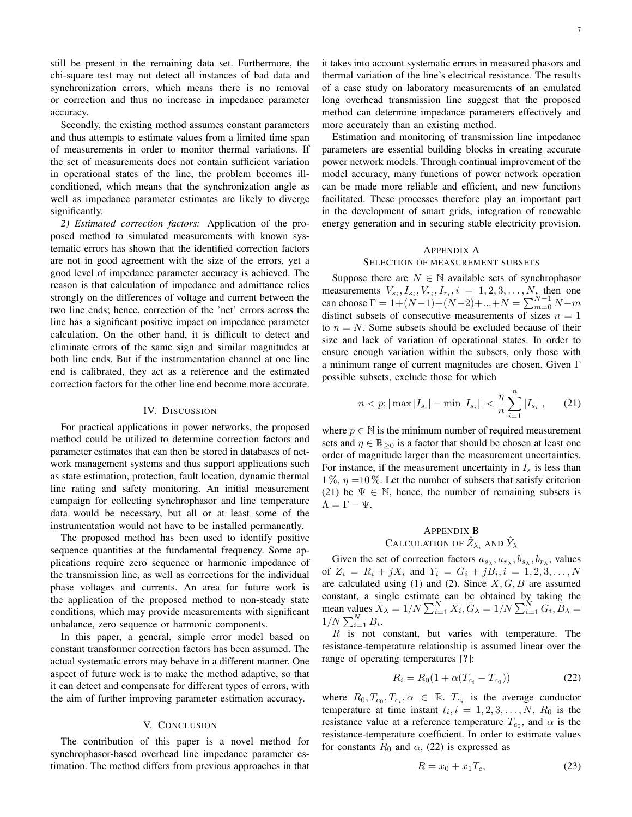still be present in the remaining data set. Furthermore, the chi-square test may not detect all instances of bad data and synchronization errors, which means there is no removal or correction and thus no increase in impedance parameter accuracy.

Secondly, the existing method assumes constant parameters and thus attempts to estimate values from a limited time span of measurements in order to monitor thermal variations. If the set of measurements does not contain sufficient variation in operational states of the line, the problem becomes illconditioned, which means that the synchronization angle as well as impedance parameter estimates are likely to diverge significantly.

*2) Estimated correction factors:* Application of the proposed method to simulated measurements with known systematic errors has shown that the identified correction factors are not in good agreement with the size of the errors, yet a good level of impedance parameter accuracy is achieved. The reason is that calculation of impedance and admittance relies strongly on the differences of voltage and current between the two line ends; hence, correction of the 'net' errors across the line has a significant positive impact on impedance parameter calculation. On the other hand, it is difficult to detect and eliminate errors of the same sign and similar magnitudes at both line ends. But if the instrumentation channel at one line end is calibrated, they act as a reference and the estimated correction factors for the other line end become more accurate.

#### IV. DISCUSSION

For practical applications in power networks, the proposed method could be utilized to determine correction factors and parameter estimates that can then be stored in databases of network management systems and thus support applications such as state estimation, protection, fault location, dynamic thermal line rating and safety monitoring. An initial measurement campaign for collecting synchrophasor and line temperature data would be necessary, but all or at least some of the instrumentation would not have to be installed permanently.

The proposed method has been used to identify positive sequence quantities at the fundamental frequency. Some applications require zero sequence or harmonic impedance of the transmission line, as well as corrections for the individual phase voltages and currents. An area for future work is the application of the proposed method to non-steady state conditions, which may provide measurements with significant unbalance, zero sequence or harmonic components.

In this paper, a general, simple error model based on constant transformer correction factors has been assumed. The actual systematic errors may behave in a different manner. One aspect of future work is to make the method adaptive, so that it can detect and compensate for different types of errors, with the aim of further improving parameter estimation accuracy.

#### V. CONCLUSION

The contribution of this paper is a novel method for synchrophasor-based overhead line impedance parameter estimation. The method differs from previous approaches in that it takes into account systematic errors in measured phasors and thermal variation of the line's electrical resistance. The results of a case study on laboratory measurements of an emulated long overhead transmission line suggest that the proposed method can determine impedance parameters effectively and more accurately than an existing method.

Estimation and monitoring of transmission line impedance parameters are essential building blocks in creating accurate power network models. Through continual improvement of the model accuracy, many functions of power network operation can be made more reliable and efficient, and new functions facilitated. These processes therefore play an important part in the development of smart grids, integration of renewable energy generation and in securing stable electricity provision.

## APPENDIX A

#### SELECTION OF MEASUREMENT SUBSETS

Suppose there are  $N \in \mathbb{N}$  available sets of synchrophasor measurements  $V_{s_i}, I_{s_i}, V_{r_i}, I_{r_i}, i = 1, 2, 3, \ldots, N$ , then one can choose  $\Gamma = 1 + (N-1) + (N-2) + ... + N = \sum_{m=0}^{N-1} N - m$ distinct subsets of consecutive measurements of sizes  $n = 1$ to  $n = N$ . Some subsets should be excluded because of their size and lack of variation of operational states. In order to ensure enough variation within the subsets, only those with a minimum range of current magnitudes are chosen. Given Γ possible subsets, exclude those for which

$$
n < p; |\max|I_{s_i}| - \min|I_{s_i}|| < \frac{\eta}{n} \sum_{i=1}^n |I_{s_i}|,\qquad(21)
$$

where  $p \in \mathbb{N}$  is the minimum number of required measurement sets and  $\eta \in \mathbb{R}_{\geq 0}$  is a factor that should be chosen at least one order of magnitude larger than the measurement uncertainties. For instance, if the measurement uncertainty in  $I_s$  is less than 1 %,  $\eta$  =10 %. Let the number of subsets that satisfy criterion (21) be  $\Psi \in \mathbb{N}$ , hence, the number of remaining subsets is  $\Lambda = \Gamma - \Psi$ .

## APPENDIX B CALCULATION OF  $\hat{Z}_{\lambda_i}$  and  $\hat{Y}_{\lambda}$

Given the set of correction factors  $a_{s_{\lambda}}, a_{r_{\lambda}}, b_{s_{\lambda}}, b_{r_{\lambda}}$ , values of  $Z_i = R_i + jX_i$  and  $Y_i = G_i + jB_i, i = 1, 2, 3, ..., N$ are calculated using (1) and (2). Since  $X, G, B$  are assumed constant, a single estimate can be obtained by taking the mean values  $\overline{X}_{\lambda} = 1/N \sum_{i=1}^{N} X_i$ ,  $\overline{G}_{\lambda} = 1/N \sum_{i=1}^{N} G_i$ ,  $\overline{B}_{\lambda} =$  $1/N \sum_{i=1}^{N} B_i$ .

 $R$  is not constant, but varies with temperature. The resistance-temperature relationship is assumed linear over the range of operating temperatures [?]:

$$
R_i = R_0(1 + \alpha (T_{c_i} - T_{c_0}))
$$
 (22)

where  $R_0, T_{c_0}, T_{c_i}, \alpha \in \mathbb{R}$ .  $T_{c_i}$  is the average conductor temperature at time instant  $t_i$ ,  $i = 1, 2, 3, \ldots, N$ ,  $R_0$  is the resistance value at a reference temperature  $T_{c_0}$ , and  $\alpha$  is the resistance-temperature coefficient. In order to estimate values for constants  $R_0$  and  $\alpha$ , (22) is expressed as

$$
R = x_0 + x_1 T_c,\t\t(23)
$$